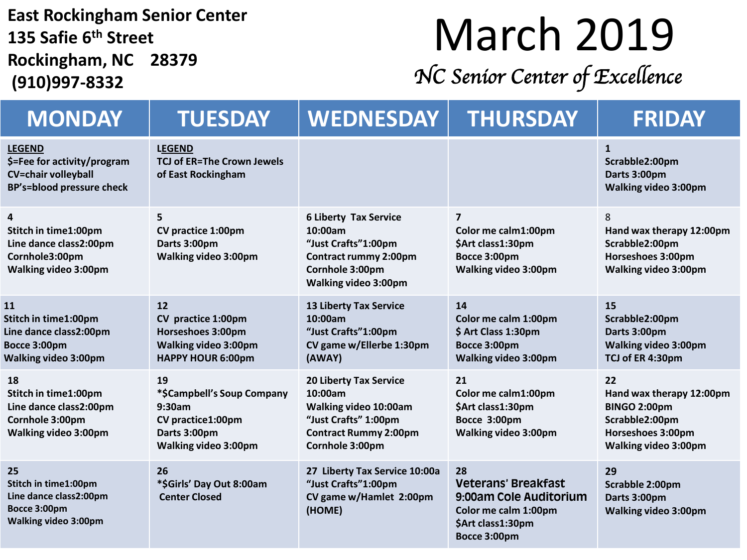**East Rockingham Senior Center 135 Safie 6 th Street Rockingham, NC 28379 (910)997-8332**

## March 2019

*NC Senior Center of Excellence* 

| <b>MONDAY</b>                                                                                           | <b>TUESDAY</b>                                                                                                 | <b>WEDNESDAY</b>                                                                                                                             | <b>THURSDAY</b>                                                                                                         | <b>FRIDAY</b>                                                                                                        |
|---------------------------------------------------------------------------------------------------------|----------------------------------------------------------------------------------------------------------------|----------------------------------------------------------------------------------------------------------------------------------------------|-------------------------------------------------------------------------------------------------------------------------|----------------------------------------------------------------------------------------------------------------------|
| <b>LEGEND</b><br>\$=Fee for activity/program<br><b>CV=chair volleyball</b><br>BP's=blood pressure check | <b>LEGEND</b><br><b>TCJ of ER=The Crown Jewels</b><br>of East Rockingham                                       |                                                                                                                                              |                                                                                                                         | $\mathbf{1}$<br>Scrabble2:00pm<br>Darts 3:00pm<br><b>Walking video 3:00pm</b>                                        |
| 4<br>Stitch in time1:00pm<br>Line dance class2:00pm<br>Cornhole3:00pm<br><b>Walking video 3:00pm</b>    | 5<br>CV practice 1:00pm<br>Darts 3:00pm<br><b>Walking video 3:00pm</b>                                         | <b>6 Liberty Tax Service</b><br>10:00am<br>"Just Crafts"1:00pm<br>Contract rummy 2:00pm<br>Cornhole 3:00pm<br><b>Walking video 3:00pm</b>    | 7<br>Color me calm1:00pm<br>\$Art class1:30pm<br>Bocce 3:00pm<br><b>Walking video 3:00pm</b>                            | 8<br>Hand wax therapy 12:00pm<br>Scrabble2:00pm<br>Horseshoes 3:00pm<br><b>Walking video 3:00pm</b>                  |
| 11<br>Stitch in time1:00pm<br>Line dance class2:00pm<br>Bocce 3:00pm<br><b>Walking video 3:00pm</b>     | 12<br>CV practice 1:00pm<br>Horseshoes 3:00pm<br><b>Walking video 3:00pm</b><br><b>HAPPY HOUR 6:00pm</b>       | <b>13 Liberty Tax Service</b><br>10:00am<br>"Just Crafts"1:00pm<br>CV game w/Ellerbe 1:30pm<br>(AWAY)                                        | 14<br>Color me calm 1:00pm<br>\$ Art Class 1:30pm<br>Bocce 3:00pm<br>Walking video 3:00pm                               | 15<br>Scrabble2:00pm<br>Darts 3:00pm<br><b>Walking video 3:00pm</b><br>TCJ of ER 4:30pm                              |
| 18<br>Stitch in time1:00pm<br>Line dance class2:00pm<br>Cornhole 3:00pm<br><b>Walking video 3:00pm</b>  | 19<br>*\$Campbell's Soup Company<br>9:30am<br>CV practice1:00pm<br>Darts 3:00pm<br><b>Walking video 3:00pm</b> | <b>20 Liberty Tax Service</b><br>10:00am<br>Walking video 10:00am<br>"Just Crafts" 1:00pm<br><b>Contract Rummy 2:00pm</b><br>Cornhole 3:00pm | 21<br>Color me calm1:00pm<br>\$Art class1:30pm<br>Bocce 3:00pm<br>Walking video 3:00pm                                  | 22<br>Hand wax therapy 12:00pm<br>BINGO 2:00pm<br>Scrabble2:00pm<br>Horseshoes 3:00pm<br><b>Walking video 3:00pm</b> |
| 25<br>Stitch in time1:00pm<br>Line dance class2:00pm<br>Bocce 3:00pm<br><b>Walking video 3:00pm</b>     | 26<br>*\$Girls' Day Out 8:00am<br><b>Center Closed</b>                                                         | 27 Liberty Tax Service 10:00a<br>"Just Crafts"1:00pm<br>CV game w/Hamlet 2:00pm<br>(HOME)                                                    | 28<br><b>Veterans' Breakfast</b><br>9:00am Cole Auditorium<br>Color me calm 1:00pm<br>\$Art class1:30pm<br>Bocce 3:00pm | 29<br>Scrabble 2:00pm<br>Darts 3:00pm<br><b>Walking video 3:00pm</b>                                                 |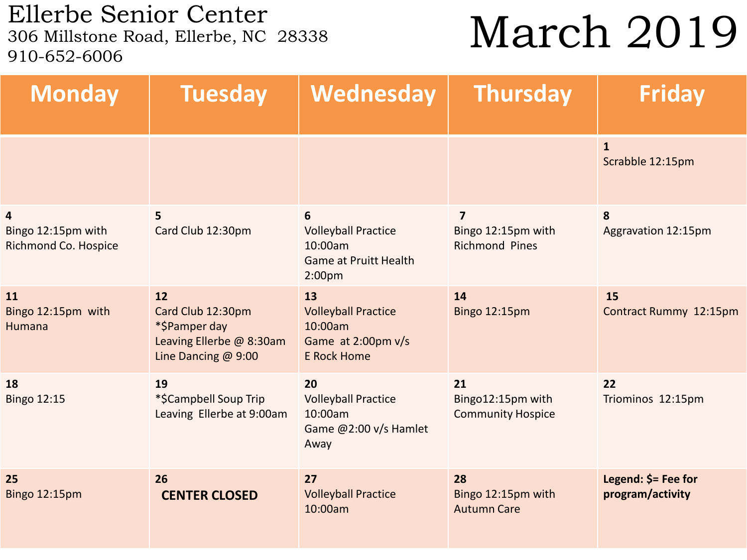Ellerbe Senior Center<br>306 Millstone Road, Ellerbe, NC 28338 910-652-6006

## March 2019

| <b>Monday</b>                                   | <b>Tuesday</b>                                                                              | Wednesday                                                                                        | <b>Thursday</b>                                                        | <b>Friday</b>                           |
|-------------------------------------------------|---------------------------------------------------------------------------------------------|--------------------------------------------------------------------------------------------------|------------------------------------------------------------------------|-----------------------------------------|
|                                                 |                                                                                             |                                                                                                  |                                                                        | $\mathbf{1}$<br>Scrabble 12:15pm        |
| 4<br>Bingo 12:15pm with<br>Richmond Co. Hospice | 5<br>Card Club 12:30pm                                                                      | 6<br><b>Volleyball Practice</b><br>10:00am<br><b>Game at Pruitt Health</b><br>2:00 <sub>pm</sub> | $\overline{\mathbf{z}}$<br>Bingo 12:15pm with<br><b>Richmond Pines</b> | 8<br>Aggravation 12:15pm                |
| 11<br>Bingo 12:15pm with<br><b>Humana</b>       | 12<br>Card Club 12:30pm<br>*\$Pamper day<br>Leaving Ellerbe @ 8:30am<br>Line Dancing @ 9:00 | 13<br><b>Volleyball Practice</b><br>10:00am<br>Game at 2:00pm v/s<br><b>E Rock Home</b>          | 14<br><b>Bingo 12:15pm</b>                                             | 15<br>Contract Rummy 12:15pm            |
| 18<br><b>Bingo 12:15</b>                        | 19<br>*\$Campbell Soup Trip<br>Leaving Ellerbe at 9:00am                                    | 20<br><b>Volleyball Practice</b><br>10:00am<br>Game @2:00 v/s Hamlet<br>Away                     | 21<br>Bingo12:15pm with<br><b>Community Hospice</b>                    | 22<br>Triominos 12:15pm                 |
| 25<br><b>Bingo 12:15pm</b>                      | 26<br><b>CENTER CLOSED</b>                                                                  | 27<br><b>Volleyball Practice</b><br>10:00am                                                      | 28<br>Bingo 12:15pm with<br><b>Autumn Care</b>                         | Legend: \$= Fee for<br>program/activity |